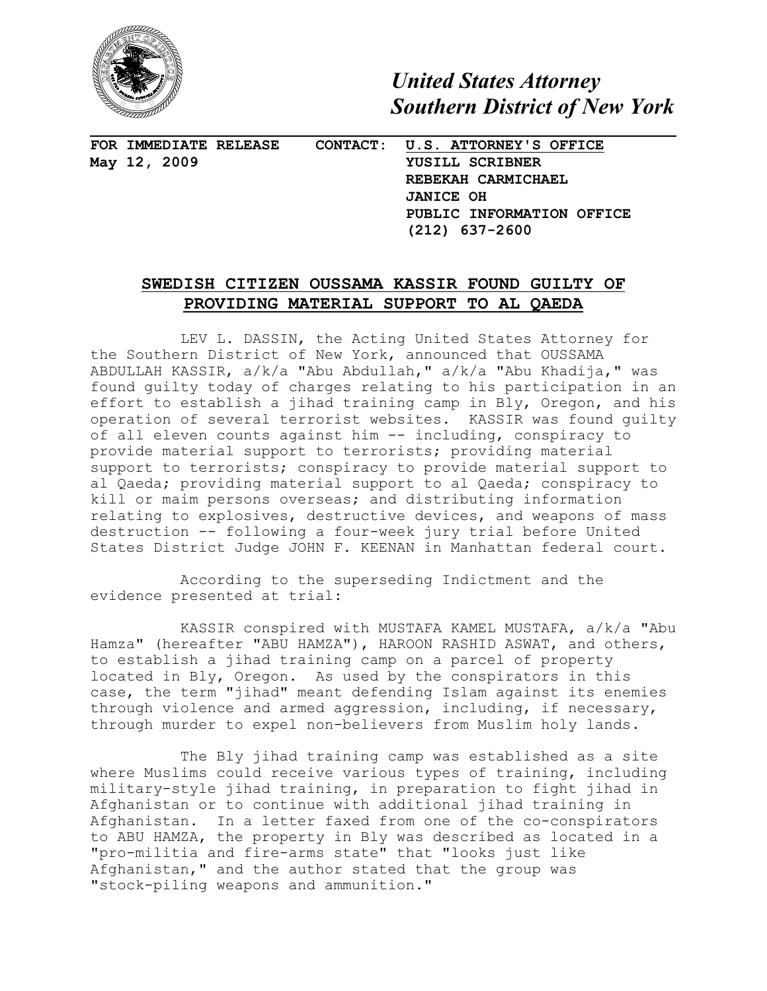

*United States Attorney Southern District of New York*

**FOR IMMEDIATE RELEASE CONTACT: U.S. ATTORNEY'S OFFICE May 12, 2009 YUSILL SCRIBNER**

 **REBEKAH CARMICHAEL JANICE OH PUBLIC INFORMATION OFFICE (212) 637-2600**

## **SWEDISH CITIZEN OUSSAMA KASSIR FOUND GUILTY OF PROVIDING MATERIAL SUPPORT TO AL QAEDA**

LEV L. DASSIN, the Acting United States Attorney for the Southern District of New York, announced that OUSSAMA ABDULLAH KASSIR, a/k/a "Abu Abdullah," a/k/a "Abu Khadija," was found guilty today of charges relating to his participation in an effort to establish a jihad training camp in Bly, Oregon, and his operation of several terrorist websites. KASSIR was found guilty of all eleven counts against him -- including, conspiracy to provide material support to terrorists; providing material support to terrorists; conspiracy to provide material support to al Qaeda; providing material support to al Qaeda; conspiracy to kill or maim persons overseas; and distributing information relating to explosives, destructive devices, and weapons of mass destruction -- following a four-week jury trial before United States District Judge JOHN F. KEENAN in Manhattan federal court.

According to the superseding Indictment and the evidence presented at trial:

KASSIR conspired with MUSTAFA KAMEL MUSTAFA, a/k/a "Abu Hamza" (hereafter "ABU HAMZA"), HAROON RASHID ASWAT, and others, to establish a jihad training camp on a parcel of property located in Bly, Oregon. As used by the conspirators in this case, the term "jihad" meant defending Islam against its enemies through violence and armed aggression, including, if necessary, through murder to expel non-believers from Muslim holy lands.

The Bly jihad training camp was established as a site where Muslims could receive various types of training, including military-style jihad training, in preparation to fight jihad in Afghanistan or to continue with additional jihad training in Afghanistan. In a letter faxed from one of the co-conspirators to ABU HAMZA, the property in Bly was described as located in a "pro-militia and fire-arms state" that "looks just like Afghanistan," and the author stated that the group was "stock-piling weapons and ammunition."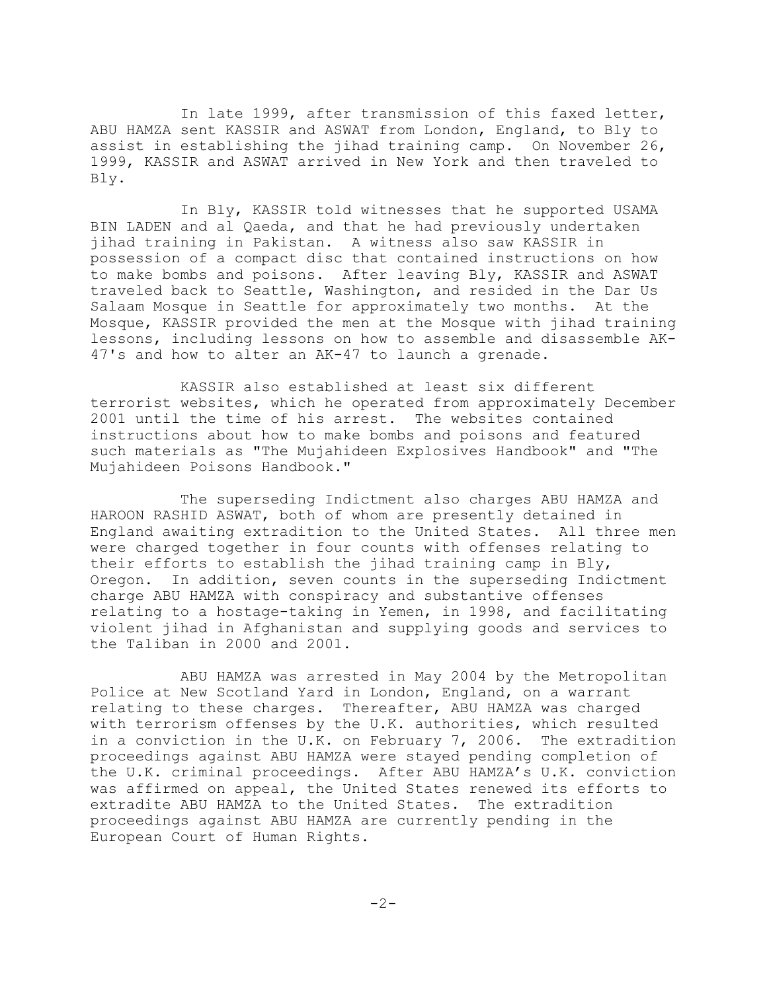In late 1999, after transmission of this faxed letter, ABU HAMZA sent KASSIR and ASWAT from London, England, to Bly to assist in establishing the jihad training camp. On November 26, 1999, KASSIR and ASWAT arrived in New York and then traveled to Bly.

In Bly, KASSIR told witnesses that he supported USAMA BIN LADEN and al Qaeda, and that he had previously undertaken jihad training in Pakistan. A witness also saw KASSIR in possession of a compact disc that contained instructions on how to make bombs and poisons. After leaving Bly, KASSIR and ASWAT traveled back to Seattle, Washington, and resided in the Dar Us Salaam Mosque in Seattle for approximately two months. At the Mosque, KASSIR provided the men at the Mosque with jihad training lessons, including lessons on how to assemble and disassemble AK-47's and how to alter an AK-47 to launch a grenade.

KASSIR also established at least six different terrorist websites, which he operated from approximately December 2001 until the time of his arrest. The websites contained instructions about how to make bombs and poisons and featured such materials as "The Mujahideen Explosives Handbook" and "The Mujahideen Poisons Handbook."

The superseding Indictment also charges ABU HAMZA and HAROON RASHID ASWAT, both of whom are presently detained in England awaiting extradition to the United States. All three men were charged together in four counts with offenses relating to their efforts to establish the jihad training camp in Bly, Oregon. In addition, seven counts in the superseding Indictment charge ABU HAMZA with conspiracy and substantive offenses relating to a hostage-taking in Yemen, in 1998, and facilitating violent jihad in Afghanistan and supplying goods and services to the Taliban in 2000 and 2001.

ABU HAMZA was arrested in May 2004 by the Metropolitan Police at New Scotland Yard in London, England, on a warrant relating to these charges. Thereafter, ABU HAMZA was charged with terrorism offenses by the U.K. authorities, which resulted in a conviction in the U.K. on February 7, 2006. The extradition proceedings against ABU HAMZA were stayed pending completion of the U.K. criminal proceedings. After ABU HAMZA's U.K. conviction was affirmed on appeal, the United States renewed its efforts to extradite ABU HAMZA to the United States. The extradition proceedings against ABU HAMZA are currently pending in the European Court of Human Rights.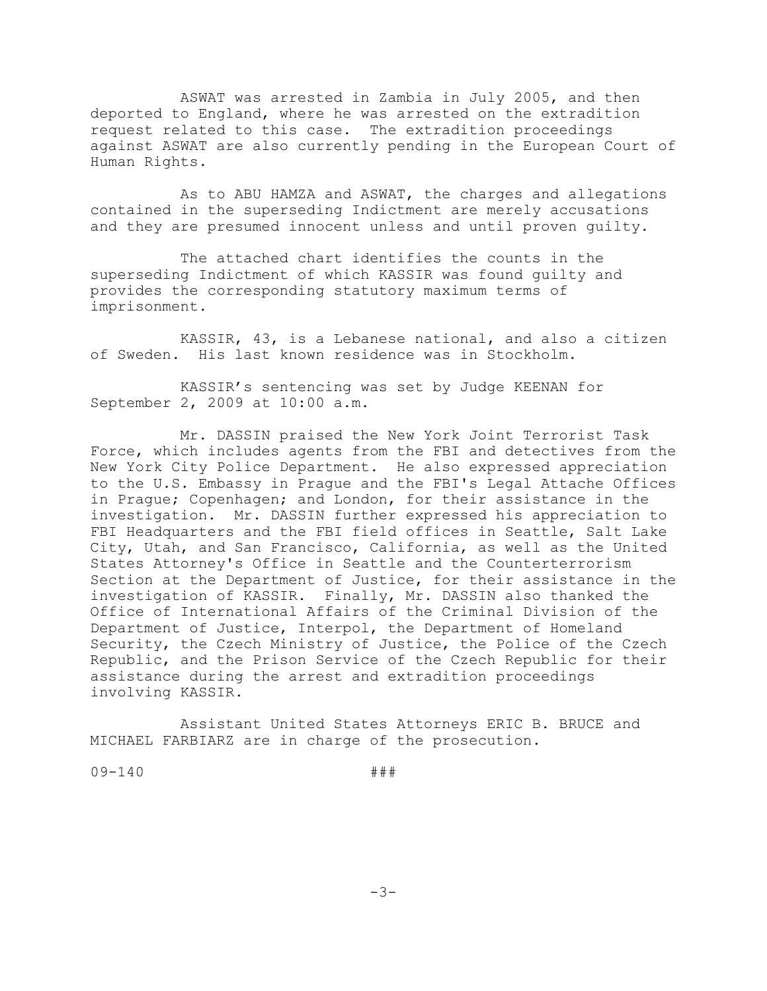ASWAT was arrested in Zambia in July 2005, and then deported to England, where he was arrested on the extradition request related to this case. The extradition proceedings against ASWAT are also currently pending in the European Court of Human Rights.

As to ABU HAMZA and ASWAT, the charges and allegations contained in the superseding Indictment are merely accusations and they are presumed innocent unless and until proven guilty.

The attached chart identifies the counts in the superseding Indictment of which KASSIR was found guilty and provides the corresponding statutory maximum terms of imprisonment.

KASSIR, 43, is a Lebanese national, and also a citizen of Sweden. His last known residence was in Stockholm.

KASSIR's sentencing was set by Judge KEENAN for September 2, 2009 at 10:00 a.m.

Mr. DASSIN praised the New York Joint Terrorist Task Force, which includes agents from the FBI and detectives from the New York City Police Department. He also expressed appreciation to the U.S. Embassy in Prague and the FBI's Legal Attache Offices in Prague; Copenhagen; and London, for their assistance in the investigation. Mr. DASSIN further expressed his appreciation to FBI Headquarters and the FBI field offices in Seattle, Salt Lake City, Utah, and San Francisco, California, as well as the United States Attorney's Office in Seattle and the Counterterrorism Section at the Department of Justice, for their assistance in the investigation of KASSIR. Finally, Mr. DASSIN also thanked the Office of International Affairs of the Criminal Division of the Department of Justice, Interpol, the Department of Homeland Security, the Czech Ministry of Justice, the Police of the Czech Republic, and the Prison Service of the Czech Republic for their assistance during the arrest and extradition proceedings involving KASSIR.

Assistant United States Attorneys ERIC B. BRUCE and MICHAEL FARBIARZ are in charge of the prosecution.

09-140 ###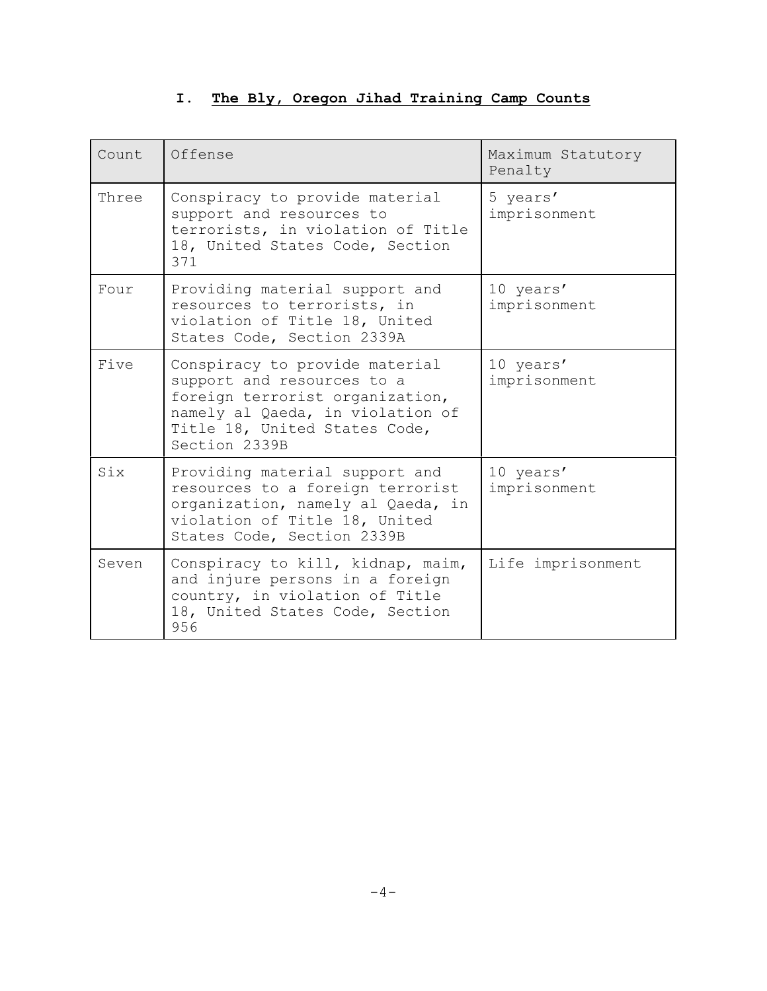## **I. The Bly, Oregon Jihad Training Camp Counts**

| Count | Offense                                                                                                                                                                               | Maximum Statutory<br>Penalty |
|-------|---------------------------------------------------------------------------------------------------------------------------------------------------------------------------------------|------------------------------|
| Three | Conspiracy to provide material<br>support and resources to<br>terrorists, in violation of Title<br>18, United States Code, Section<br>371                                             | 5 years'<br>imprisonment     |
| Four  | Providing material support and<br>resources to terrorists, in<br>violation of Title 18, United<br>States Code, Section 2339A                                                          | 10 years'<br>imprisonment    |
| Five  | Conspiracy to provide material<br>support and resources to a<br>foreign terrorist organization,<br>namely al Qaeda, in violation of<br>Title 18, United States Code,<br>Section 2339B | 10 years'<br>imprisonment    |
| Six   | Providing material support and<br>resources to a foreign terrorist<br>organization, namely al Qaeda, in<br>violation of Title 18, United<br>States Code, Section 2339B                | 10 years'<br>imprisonment    |
| Seven | Conspiracy to kill, kidnap, maim,<br>and injure persons in a foreign<br>country, in violation of Title<br>18, United States Code, Section<br>956                                      | Life imprisonment            |